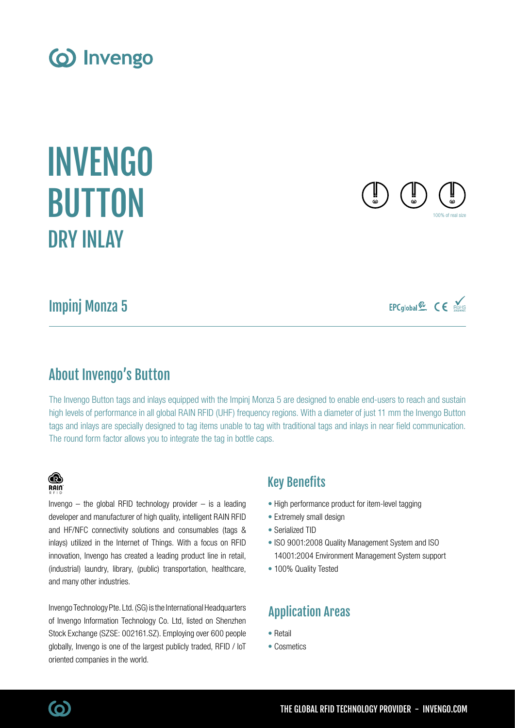# About Invengo's Button

The Invengo Button tags and inlays equipped with the Impinj Monza 5 are designed to enable end-users to reach and sustain high levels of performance in all global RAIN RFID (UHF) frequency regions. With a diameter of just 11 mm the Invengo Button tags and inlays are specially designed to tag items unable to tag with traditional tags and inlays in near field communication. The round form factor allows you to integrate the tag in bottle caps.

### Key Benefits

- High performance product for item-level tagging
- Extremely small design
- Serialized TID
- ISO 9001:2008 Quality Management System and ISO 14001:2004 Environment Management System support
- 100% Quality Tested

## Application Areas

- Retail
- Cosmetics

# **B**

Invengo  $-$  the global RFID technology provider  $-$  is a leading developer and manufacturer of high quality, intelligent RAIN RFID and HF/NFC connectivity solutions and consumables (tags & inlays) utilized in the Internet of Things. With a focus on RFID innovation, Invengo has created a leading product line in retail, (industrial) laundry, library, (public) transportation, healthcare, and many other industries.

Invengo Technology Pte. Ltd. (SG) is the International Headquarters of Invengo Information Technology Co. Ltd, listed on Shenzhen Stock Exchange (SZSE: 002161.SZ). Employing over 600 people globally, Invengo is one of the largest publicly traded, RFID / IoT oriented companies in the world.

# Impinj Monza 5

DRY INLAY

# (o) Invengo

INVENGO

BUTTON







**RAIN**